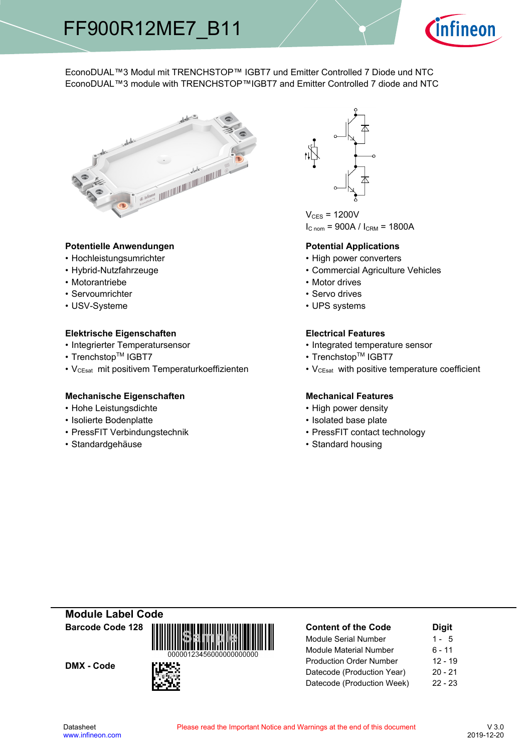

# EconoDUAL™3 Modul mit TRENCHSTOP™ IGBT7 und Emitter Controlled 7 Diode und NTC EconoDUAL™3 module with TRENCHSTOP™IGBT7 and Emitter Controlled 7 diode and NTC



## Potentielle Anwendungen<br> **Potential- Potential-**

- Hochleistungsumrichter
- Hybrid-Nutzfahrzeuge
- Motorantriebe
- Servoumrichter
- USV-Systeme

## **Elektrische Eigenschaften Electrical-**

- Integrierter Temperatursensor  **Integrated**
- Trenchstop<sup>TM</sup> IGBT7  $\bullet$
- V<sub>CEsat</sub> mit positivem Temperaturkoeffizienten V<sub>CEsat</sub>

## **Mechanische Eigenschaften Mechanical-**

- Hohe-Leistungsdichte High-
- Isolierte Bodenplatte Isolated
- PressFIT Verbindungstechnik PressFIT
- Standardgehäuse



 $V_{CES}$  = 1200V  $I_{C n o m}$  = 900A /  $I_{C R M}$  = 1800A

### **Potential Applications**

- power converters
- Agriculture-Vehicles
- Motor drives
- Servo drives
- UPS systems

## **Electrical Features**

- temperature sensor
- $\mathsf{IGBT7}$   $\qquad \qquad \bullet \text{ Trenchstop}^{\mathsf{TM}}\text{ IGBT7}$ 
	- with positive temperature coefficient

# **Mechanical Features**

- power density
- base-plate
- contact technology
- Standard housing

**Module-Label-Code Barcode-Code-128**

DMX - Code



| <b>Content of the Code</b>     | <b>Digit</b> |  |  |  |
|--------------------------------|--------------|--|--|--|
| <b>Module Serial Number</b>    | $1 - 5$      |  |  |  |
| <b>Module Material Number</b>  | 6 - 11       |  |  |  |
| <b>Production Order Number</b> | $12 - 19$    |  |  |  |
| Datecode (Production Year)     | $20 - 21$    |  |  |  |
| Datecode (Production Week)     | $22 - 23$    |  |  |  |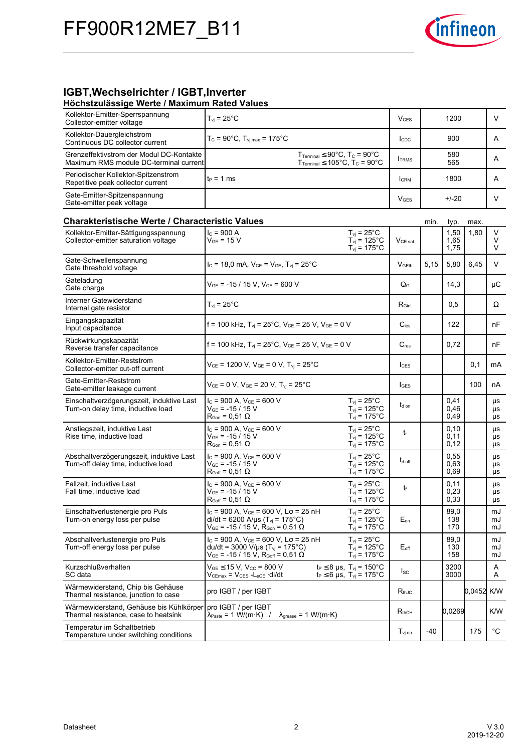

# **IGBT, Wechselrichter / IGBT, Inverter**

### **Höchstzulässige-Werte-/-Maximum-Rated-Values**

| Kollektor-Emitter-Sperrspannung<br>Collector-emitter voltage                       | $T_{vi}$ = 25 $^{\circ}$ C                                                                                                                                                                                                           | <b>V</b> <sub>CES</sub> |      | 1200                 |            | V              |
|------------------------------------------------------------------------------------|--------------------------------------------------------------------------------------------------------------------------------------------------------------------------------------------------------------------------------------|-------------------------|------|----------------------|------------|----------------|
| Kollektor-Dauergleichstrom<br>Continuous DC collector current                      | $T_c = 90^{\circ}$ C, $T_{\text{vj max}} = 175^{\circ}$ C                                                                                                                                                                            | <b>I</b> CDC            |      | 900                  |            | A              |
| Grenzeffektivstrom der Modul DC-Kontakte<br>Maximum RMS module DC-terminal current | $T_{\text{Terminal}} \leq 90^{\circ} \text{C}, T_{\text{C}} = 90^{\circ} \text{C}$<br>$T_{\text{Terminal}} \leq 105^{\circ}$ C, $T_{\text{C}} = 90^{\circ}$ C                                                                        | <b>I</b> TRMS           |      | 580<br>565           |            | A              |
| Periodischer Kollektor-Spitzenstrom<br>Repetitive peak collector current           | $t_P = 1$ ms                                                                                                                                                                                                                         | <b>I</b> CRM            |      | 1800                 |            | A              |
| Gate-Emitter-Spitzenspannung<br>Gate-emitter peak voltage                          |                                                                                                                                                                                                                                      | $V_{\text{GES}}$        |      | $+/-20$              |            | V              |
| Charakteristische Werte / Characteristic Values                                    |                                                                                                                                                                                                                                      |                         | min. | typ.                 | max.       |                |
| Kollektor-Emitter-Sättigungsspannung<br>Collector-emitter saturation voltage       | $I_c = 900 A$<br>$T_{vi} = 25^{\circ}$ C<br>$T_{\text{vj}}$ = 125°C<br>$V_{GE}$ = 15 V<br>$T_{\text{vj}}$ = 175°C                                                                                                                    | V <sub>CE</sub> sat     |      | 1,50<br>1,65<br>1,75 | 1,80       | V<br>V<br>V    |
| Gate-Schwellenspannung<br>Gate threshold voltage                                   | $I_c = 18.0$ mA, $V_{CE} = V_{GE}$ , $T_{vi} = 25^{\circ}$ C                                                                                                                                                                         | V <sub>GEth</sub>       | 5,15 | 5,80                 | 6,45       | V              |
| Gateladung<br>Gate charge                                                          | $V_{GE}$ = -15 / 15 V, $V_{CE}$ = 600 V                                                                                                                                                                                              | $Q_{G}$                 |      | 14,3                 |            | μC             |
| Interner Gatewiderstand<br>Internal gate resistor                                  | $T_{vi}$ = 25 $^{\circ}$ C                                                                                                                                                                                                           | R <sub>Gint</sub>       |      | 0,5                  |            | Ω              |
| Eingangskapazität<br>Input capacitance                                             | f = 100 kHz, $T_{vi}$ = 25°C, $V_{CE}$ = 25 V, $V_{GE}$ = 0 V                                                                                                                                                                        | $C_{\text{ies}}$        |      | 122                  |            | nF             |
| Rückwirkungskapazität<br>Reverse transfer capacitance                              | f = 100 kHz, $T_{vi}$ = 25°C, $V_{CE}$ = 25 V, $V_{GE}$ = 0 V                                                                                                                                                                        | $C_{res}$               |      | 0,72                 |            | nF             |
| Kollektor-Emitter-Reststrom<br>Collector-emitter cut-off current                   | $V_{CE}$ = 1200 V, $V_{GE}$ = 0 V, $T_{vj}$ = 25°C                                                                                                                                                                                   | <b>I</b> CES            |      |                      | 0,1        | mA             |
| Gate-Emitter-Reststrom<br>Gate-emitter leakage current                             | $V_{CE} = 0 V$ , $V_{GE} = 20 V$ , $T_{vi} = 25^{\circ}C$                                                                                                                                                                            | <b>I</b> GES            |      |                      | 100        | nA             |
| Einschaltverzögerungszeit, induktive Last<br>Turn-on delay time, inductive load    | $I_C$ = 900 A, $V_{CE}$ = 600 V<br>$T_{vi}$ = 25°C<br>$T_{vi}$ = 125°C<br>$V_{GE}$ = -15 / 15 V<br>$R_{\text{Gon}} = 0.51 \Omega$<br>$T_{vi}$ = 175°C                                                                                | $t_{d \text{ on}}$      |      | 0,41<br>0,46<br>0,49 |            | μs<br>μs<br>μs |
| Anstiegszeit, induktive Last<br>Rise time, inductive load                          | $I_C$ = 900 A, $V_{CE}$ = 600 V<br>$T_{vi}$ = 25 $^{\circ}$ C<br>$V_{GE}$ = -15 / 15 V<br>$T_{vi}$ = 125°C<br>$R_{\text{Gon}} = 0.51 \Omega$<br>$T_{\rm vj}$ = 175°C                                                                 | $t_{\rm r}$             |      | 0,10<br>0,11<br>0,12 |            | μs<br>μs<br>μs |
| Abschaltverzögerungszeit, induktive Last<br>Turn-off delay time, inductive load    | $I_c = 900 A$ , $V_{CE} = 600 V$<br>$T_{vi}$ = 25 $^{\circ}$ C<br>$V_{GE}$ = -15 / 15 V<br>$T_{\text{vj}}$ = 125°C<br>$T_{\text{vj}}$ = 175°C<br>$R_{Goff} = 0.51 \Omega$                                                            | $t_{d \text{ off}}$     |      | 0,55<br>0,63<br>0.69 |            | μs<br>μs<br>μs |
| Fallzeit, induktive Last<br>Fall time, inductive load                              | $I_c$ = 900 A, $V_{CE}$ = 600 V<br>$T_{vi}$ = 25°C<br>$V_{GF}$ = -15 / 15 V<br>$T_{vi}$ = 125°C<br>$T_{\rm vj}$ = 175°C<br>$R_{Goff}$ = 0,51 $\Omega$                                                                                | t                       |      | 0,11<br>0,23<br>0,33 |            | μs<br>μs<br>μs |
| Einschaltverlustenergie pro Puls<br>Turn-on energy loss per pulse                  | $I_C = 900$ A, $V_{CE} = 600$ V, $L\sigma = 25$ nH<br>$T_{\rm vi}$ = 25°C<br>$T_{vi}$ = 125°C<br>$di/dt = 6200$ A/µs (T <sub>vi</sub> = 175°C)<br>$V_{GE}$ = -15 / 15 V, R <sub>Gon</sub> = 0,51 $\Omega$<br>$T_{vi} = 175$ °C       | $E_{on}$                |      | 89,0<br>138<br>170   |            | mJ<br>mJ<br>mJ |
| Abschaltverlustenergie pro Puls<br>Turn-off energy loss per pulse                  | $I_c$ = 900 A, $V_{CE}$ = 600 V, L $\sigma$ = 25 nH<br>$T_{vi}$ = 25 $^{\circ}$ C<br>$T_{vi}$ = 125°C<br>du/dt = 3000 V/µs (T <sub>vi</sub> = 175°C)<br>$V_{GE}$ = -15 / 15 V, R <sub>Goff</sub> = 0,51 $\Omega$<br>$T_{vi}$ = 175°C | $E_{\mathsf{off}}$      |      | 89,0<br>130<br>158   |            | mJ<br>mJ<br>mJ |
| Kurzschlußverhalten<br>SC data                                                     | $V_{GE}$ $\leq$ 15 V. V <sub>cc</sub> = 800 V<br>$t_P \le 8 \,\mu s$ , $T_{\nu i} = 150^{\circ}C$<br>$t_P \le 6$ µs, $T_{vi} = 175$ °C<br>$V_{CEmax} = V_{CES} - L_{sCE} \cdot di/dt$                                                | $I_{SC}$                |      | 3200<br>3000         |            | Α<br>A         |
| Wärmewiderstand, Chip bis Gehäuse<br>Thermal resistance, junction to case          | pro IGBT / per IGBT                                                                                                                                                                                                                  | $R_{thJC}$              |      |                      | 0.0452 K/W |                |
| Wärmewiderstand, Gehäuse bis Kühlkörper<br>Thermal resistance, case to heatsink    | pro IGBT / per IGBT<br>$\lambda_{\text{Paste}} = 1 \text{ W/(m} \cdot \text{K)}$ /<br>$\lambda_{\text{grease}}$ = 1 W/(m·K)                                                                                                          | $R_{thCH}$              |      | 0,0269               |            | K/W            |
| Temperatur im Schaltbetrieb<br>Temperature under switching conditions              |                                                                                                                                                                                                                                      | $T_{\text{vj op}}$      | -40  |                      | 175        | °C             |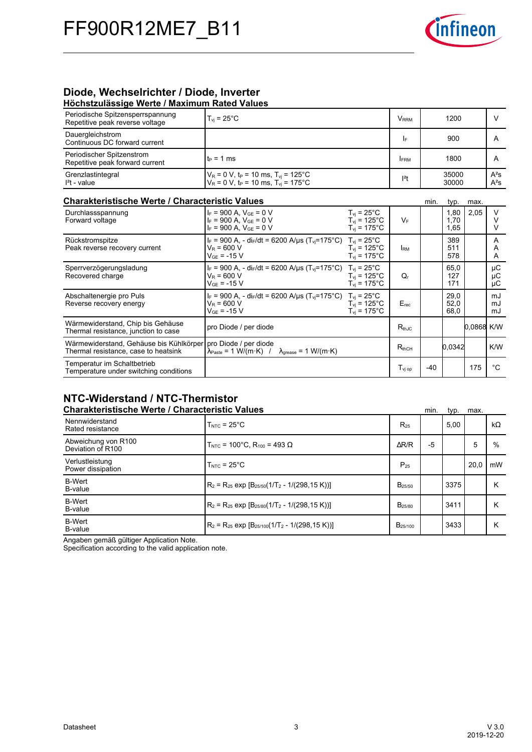

# **Diode,-Wechselrichter-/-Diode,-Inverter**

| Höchstzulässige Werte / Maximum Rated Values                                                            |                                                                                                                                                |                                                                                      |                         |       |                      |            |                  |
|---------------------------------------------------------------------------------------------------------|------------------------------------------------------------------------------------------------------------------------------------------------|--------------------------------------------------------------------------------------|-------------------------|-------|----------------------|------------|------------------|
| Periodische Spitzensperrspannung<br>Repetitive peak reverse voltage                                     | $T_{\rm vj}$ = 25 $^{\circ}$ C                                                                                                                 |                                                                                      | <b>V</b> <sub>RRM</sub> |       |                      | V          |                  |
| Dauergleichstrom<br>Continuous DC forward current                                                       |                                                                                                                                                |                                                                                      | I۴                      |       | 900                  |            | A                |
| Periodischer Spitzenstrom<br>Repetitive peak forward current                                            | $t_P = 1$ ms                                                                                                                                   |                                                                                      | <b>FRM</b>              |       | 1800                 |            | A                |
| Grenzlastintegral<br>$I2t - value$                                                                      | $V_R$ = 0 V, t <sub>P</sub> = 10 ms, T <sub>vi</sub> = 125°C<br>$V_R$ = 0 V, t <sub>P</sub> = 10 ms, T <sub>vi</sub> = 175°C                   |                                                                                      | $l^2t$                  |       | 35000<br>30000       |            | $A^2S$<br>$A^2S$ |
| <b>Charakteristische Werte / Characteristic Values</b><br>min.<br>typ.<br>max.                          |                                                                                                                                                |                                                                                      |                         |       |                      |            |                  |
| Durchlassspannung<br>Forward voltage                                                                    | $I_F = 900$ A, $V_{GF} = 0$ V<br>$I_F = 900 A$ , $V_{GE} = 0 V$<br>$I_F = 900$ A, $V_{GE} = 0$ V                                               | $T_{vi}$ = 25 $^{\circ}$ C<br>$T_{vi}$ = 125 $^{\circ}$ C<br>$T_{\text{vj}}$ = 175°C | $V_F$                   |       | 1.80<br>1.70<br>1,65 | 2,05       | V<br>V<br>V      |
| Rückstromspitze<br>Peak reverse recovery current                                                        | I <sub>F</sub> = 900 A, - di <sub>F</sub> /dt = 6200 A/us (T <sub>vi</sub> =175°C) T <sub>vi</sub> = 25°C<br>$V_R$ = 600 V<br>$V_{GF}$ = -15 V | $T_{\rm vi}$ = 125°C<br>$T_{\rm vi}$ = 175°C                                         | <b>IRM</b>              |       | 389<br>511<br>578    |            | A<br>A<br>A      |
| Sperrverzögerungsladung<br>Recovered charge                                                             | $I_F$ = 900 A, - di <sub>F</sub> /dt = 6200 A/us (T <sub>vi</sub> =175°C)<br>$V_R$ = 600 V<br>$V_{GF} = -15 V$                                 | $T_{\rm vi}$ = 25 $^{\circ}$ C<br>$T_{vi}$ = 125°C<br>$T_{vi}$ = 175°C               | Q,                      |       | 65,0<br>127<br>171   |            | μC<br>μC<br>μC   |
| Abschaltenergie pro Puls<br>Reverse recovery energy                                                     | $I_F$ = 900 A, - di <sub>F</sub> /dt = 6200 A/µs (T <sub>vi</sub> =175°C)<br>$V_R = 600 V$<br>$V_{GF}$ = -15 V                                 | $T_{vi}$ = 25°C<br>$T_{\text{vi}}$ = 125°C<br>$T_{\text{vi}}$ = 175°C                | E <sub>rec</sub>        |       | 29,0<br>52,0<br>68,0 |            | mJ<br>mJ<br>mJ   |
| Wärmewiderstand, Chip bis Gehäuse<br>Thermal resistance, junction to case                               | pro Diode / per diode                                                                                                                          |                                                                                      | $R_{th,IC}$             |       |                      | 0.0868 K/W |                  |
| Wärmewiderstand, Gehäuse bis Kühlkörper   pro Diode / per diode<br>Thermal resistance, case to heatsink | $\lambda_{\text{Paste}} = 1 \text{ W/(m·K)}$ /<br>$\lambda_{\text{grease}} = 1 \text{ W/(m·K)}$                                                |                                                                                      | $R_{thCH}$              |       | 0.0342               |            | K/W              |
| Temperatur im Schaltbetrieb<br>Temperature under switching conditions                                   |                                                                                                                                                |                                                                                      | $T_{\rm vj~op}$         | $-40$ |                      | 175        | $^{\circ}C$      |

# **NTC-Widerstand-/-NTC-Thermistor**

| <b>Charakteristische Werte / Characteristic Values</b> |                                                                          |                    | min. | typ. | max. |           |
|--------------------------------------------------------|--------------------------------------------------------------------------|--------------------|------|------|------|-----------|
| Nennwiderstand<br>Rated resistance                     | $TNTC = 25°C$                                                            | $R_{25}$           |      | 5.00 |      | $k\Omega$ |
| Abweichung von R100<br>Deviation of R100               | T <sub>NTC</sub> = 100°C, R <sub>100</sub> = 493 Ω                       | $\Delta$ R/R       | $-5$ |      | 5    | %         |
| Verlustleistung<br>Power dissipation                   | $TNTC = 25°C$                                                            | $P_{25}$           |      |      | 20.0 | mW        |
| <b>B-Wert</b><br>B-value                               | $\rm R_2$ = R <sub>25</sub> exp $\rm [B_{25/50}(1/T_2 - 1/(298, 15 K))]$ | B <sub>25/50</sub> |      | 3375 |      | Κ         |
| <b>B-Wert</b><br>B-value                               | $R_2$ = R <sub>25</sub> exp $[B_{25/80}(1/T_2 - 1/(298, 15 K))]$         | B <sub>25/80</sub> |      | 3411 |      | Κ         |
| <b>B-Wert</b><br>B-value                               | $R_2 = R_{25}$ exp $[B_{25/100}(1/T_2 - 1/(298, 15 K))]$                 | $B_{25/100}$       |      | 3433 |      | Κ         |

Angaben gemäß gültiger Application Note.

Specification according to the valid application note.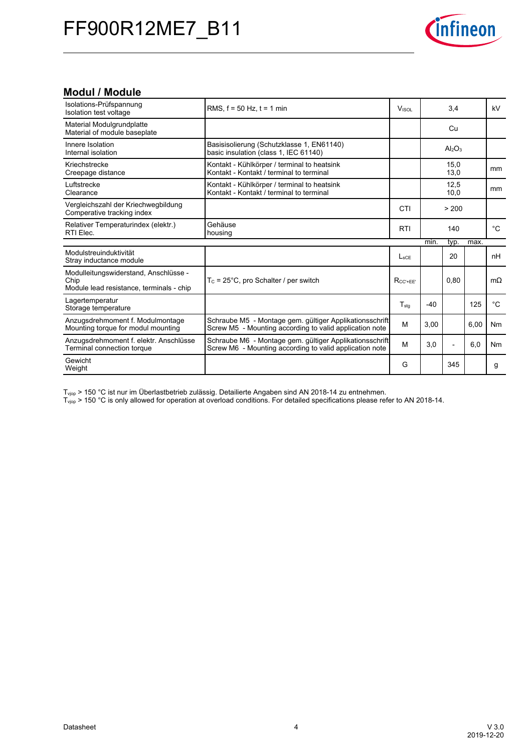

# **Modul-/-Module**

| Isolations-Prüfspannung<br>Isolation test voltage                                         | RMS, $f = 50$ Hz, $t = 1$ min                                                                                      | <b>VISOL</b>    | 3,4   |                                | kV   |                |
|-------------------------------------------------------------------------------------------|--------------------------------------------------------------------------------------------------------------------|-----------------|-------|--------------------------------|------|----------------|
| Material Modulgrundplatte<br>Material of module baseplate                                 |                                                                                                                    |                 |       | Cu                             |      |                |
| Innere Isolation<br>Internal isolation                                                    | Basisisolierung (Schutzklasse 1, EN61140)<br>basic insulation (class 1, IEC 61140)                                 |                 |       | Al <sub>2</sub> O <sub>3</sub> |      |                |
| Kriechstrecke<br>Creepage distance                                                        | Kontakt - Kühlkörper / terminal to heatsink<br>Kontakt - Kontakt / terminal to terminal                            |                 |       | 15,0<br>13,0                   |      | mm             |
| Luftstrecke<br>Clearance                                                                  | Kontakt - Kühlkörper / terminal to heatsink<br>Kontakt - Kontakt / terminal to terminal                            |                 |       | 12.5<br>10,0                   |      | mm             |
| Vergleichszahl der Kriechwegbildung<br>Comperative tracking index                         |                                                                                                                    | CTI             |       | > 200                          |      |                |
| Relativer Temperaturindex (elektr.)<br>RTI Elec.                                          | Gehäuse<br>housing                                                                                                 | <b>RTI</b>      |       | 140                            |      | $^{\circ}C$    |
|                                                                                           |                                                                                                                    |                 | min.  | typ.                           | max. |                |
| Modulstreuinduktivität<br>Stray inductance module                                         |                                                                                                                    | $L_{SCE}$       |       | 20                             |      | nH             |
| Modulleitungswiderstand, Anschlüsse -<br>Chip<br>Module lead resistance, terminals - chip | $T_c$ = 25°C, pro Schalter / per switch                                                                            | $R_{CC' + EE'}$ |       | 0.80                           |      | $m\Omega$      |
| Lagertemperatur<br>Storage temperature                                                    |                                                                                                                    | $T_{sta}$       | $-40$ |                                | 125  | $^{\circ}C$    |
| Anzugsdrehmoment f. Modulmontage<br>Mounting torque for modul mounting                    | Schraube M5 - Montage gem. gültiger Applikationsschrift<br>Screw M5 - Mounting according to valid application note | M               | 3.00  |                                | 6.00 | Nm             |
| Anzugsdrehmoment f. elektr. Anschlüsse<br>Terminal connection torque                      | Schraube M6 - Montage gem. gültiger Applikationsschrift<br>Screw M6 - Mounting according to valid application note | M               | 3.0   | $\overline{\phantom{0}}$       | 6,0  | N <sub>m</sub> |
| Gewicht<br>Weight                                                                         |                                                                                                                    | G               |       | 345                            |      | g              |

 $T_{\text{vip}}$  > 150 °C ist nur im Überlastbetrieb zulässig. Detailierte Angaben sind AN 2018-14 zu entnehmen.

 $T_{\text{vip}}$  > 150 °C is only allowed for operation at overload conditions. For detailed specifications please refer to AN 2018-14.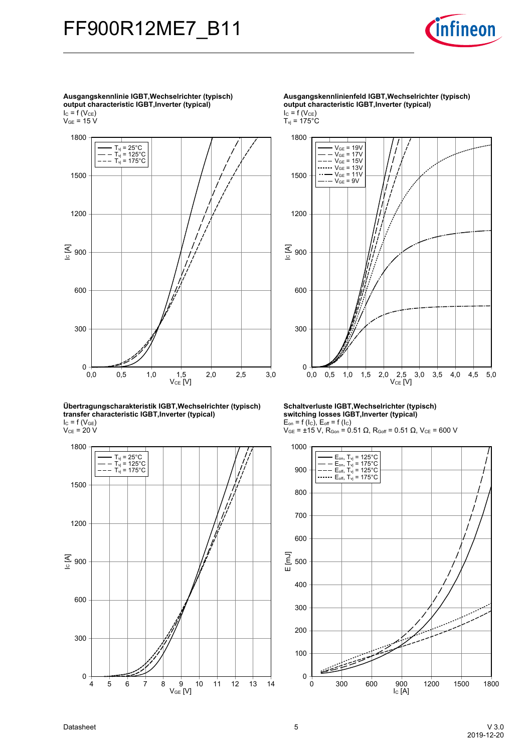



**Übertragungscharakteristik-IGBT,Wechselrichter-(typisch) transfer-characteristic-IGBT,Inverter-(typical)**  $I_{C}$  = f (V<sub>GE</sub>)  $V_{CE}$  = 20 V



**Ausgangskennlinienfeld-IGBT,Wechselrichter-(typisch) output-characteristic-IGBT,Inverter-(typical)**  $I_{C} = f(V_{CE})$  $T_{\rm vj}$  = 175°C



**Schaltverluste-IGBT,Wechselrichter-(typisch) switching-losses-IGBT,Inverter-(typical)**  $E_{on}$  = f (I<sub>C</sub>),  $E_{off}$  = f (I<sub>C</sub>)

 $V_{GE}$  = ±15 V, R<sub>Gon</sub> = 0.51 Ω, R<sub>Goff</sub> = 0.51 Ω, V<sub>CE</sub> = 600 V



**Ausgangskennlinie-IGBT,Wechselrichter-(typisch) output-characteristic-IGBT,Inverter-(typical)**  $I_{C}$  = f (V<sub>CE</sub>)

 $\rm V_{GE}$  = 15 V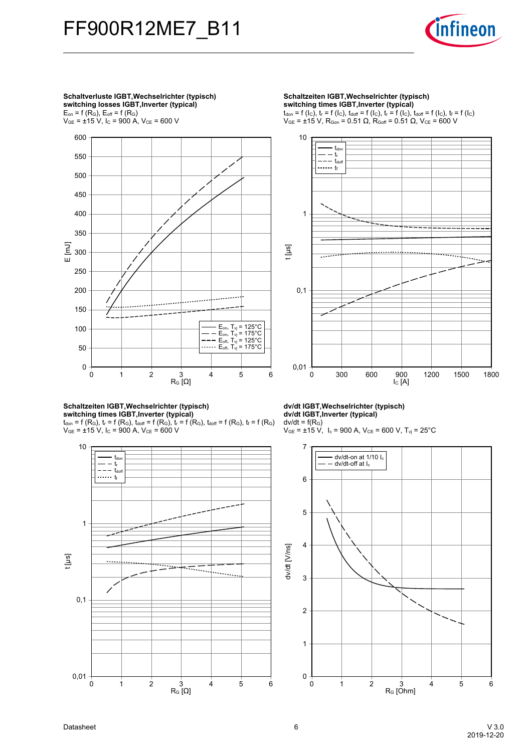

**Schaltverluste-IGBT,Wechselrichter-(typisch) switching-losses-IGBT,Inverter-(typical)**  $E_{on}$  = f ( $R_G$ ),  $E_{off}$  = f ( $R_G$ )  $V_{GE}$  = ±15 V, I<sub>C</sub> = 900 A, V<sub>CE</sub> = 600 V



#### **Schaltzeiten-IGBT,Wechselrichter-(typisch) switching-times-IGBT,Inverter-(typical)**

 ${\rm t}_{\sf don}$  = f (R<sub>G</sub>),  ${\rm t}_{\sf r}$  = f (R<sub>G</sub>),  ${\rm t}_{\sf doff}$  = f (R<sub>G</sub>),  ${\rm t}_{\sf r}$  = f (R<sub>G</sub>),  ${\rm t}_{\sf doff}$  = f (R<sub>G</sub>),  ${\rm t}_{\sf f}$  = f (R<sub>G</sub>)  $V_{GE}$  =  $\pm$ 15 V, I<sub>C</sub> = 900 A, V<sub>CE</sub> = 600 V



#### **Schaltzeiten IGBT, Wechselrichter (typisch) switching-times-IGBT,Inverter-(typical)**

 $t_{\text{don}} = f(l_{\text{C}}), t_{\text{r}} = f(l_{\text{C}}), t_{\text{doff}} = f(l_{\text{C}}), t_{\text{r}} = f(l_{\text{C}}), t_{\text{doff}} = f(l_{\text{C}}), t_{\text{f}} = f(l_{\text{C}})$  $V_{GE}$  = ±15 V, R<sub>Gon</sub> = 0.51 Ω, R<sub>Goff</sub> = 0.51 Ω, V<sub>CE</sub> = 600 V



### **dv/dt-IGBT,Wechselrichter-(typisch) dv/dt-IGBT,Inverter-(typical)**

 $dv/dt = f(R_G)$  $V_{GE}$  = ±15 V, I<sub>c</sub> = 900 A, V<sub>CE</sub> = 600 V, T<sub>vj</sub> = 25°C

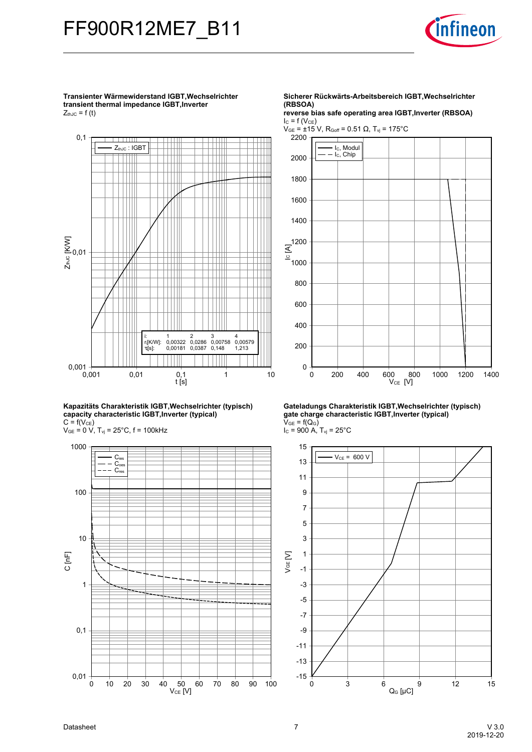

**Transienter-Wärmewiderstand-IGBT,Wechselrichtertransient thermal impedance IGBT, Inverter** 

 $Z_{thJC} = f(t)$ 



**Kapazitäts-Charakteristik-IGBT,Wechselrichter-(typisch) capacity-characteristic-IGBT,Inverter-(typical)**  $C = f(V_{CE})$ 

 $V_{GE}$  = 0 V,  $T_{vj}$  = 25°C, f = 100kHz



**Sicherer-Rückwärts-Arbeitsbereich-IGBT,Wechselrichter (RBSOA)**

**reverse-bias-safe-operating-area-IGBT,Inverter-(RBSOA)**  $I_{C} = f(V_{CE})$ 

 $V_{GE}$  = ±15 V, R<sub>Goff</sub> = 0.51 Ω, T<sub>vj</sub> = 175°C



**Gateladungs-Charakteristik-IGBT,Wechselrichter-(typisch) gate-charge-characteristic-IGBT,Inverter-(typical)**  $V_{GE} = f(Q_G)$  $I_c = 900 A$ ,  $T_{vj} = 25^{\circ}C$ 

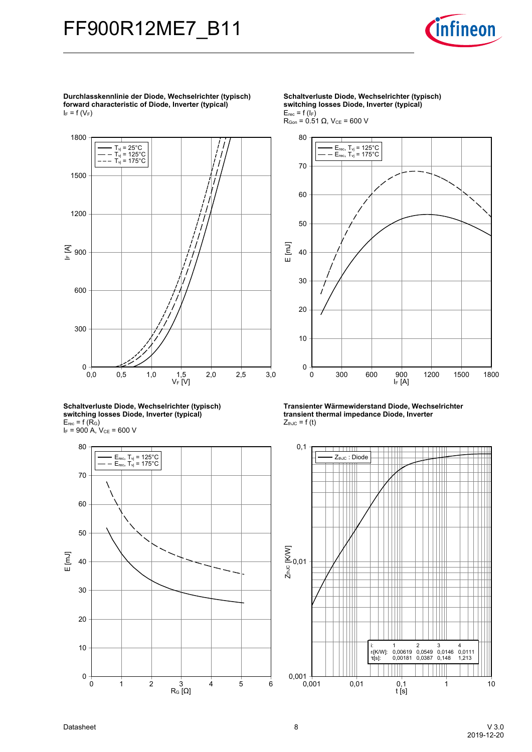![](_page_7_Picture_1.jpeg)

**Durchlasskennlinie-der-Diode,-Wechselrichter-(typisch) forward-characteristic-of-Diode,-Inverter-(typical)**  $I_F = f(V_F)$ 

![](_page_7_Figure_3.jpeg)

**Schaltverluste-Diode,-Wechselrichter-(typisch) switching-losses-Diode,-Inverter-(typical)**  $E_{rec}$  = f (R<sub>G</sub>)  $I_F$  = 900 A,  $V_{CE}$  = 600 V

![](_page_7_Figure_5.jpeg)

**Schaltverluste-Diode,-Wechselrichter-(typisch) switching-losses-Diode,-Inverter-(typical)**  $E_{rec}$  = f ( $I_F$ )  $R_{Gen}$  = 0.51 Ω,  $V_{CE}$  = 600 V

![](_page_7_Figure_7.jpeg)

**Transienter-Wärmewiderstand-Diode,-Wechselrichter transient thermal impedance Diode, Inverter**  $Z_{thJC} = f(t)$ 

![](_page_7_Figure_9.jpeg)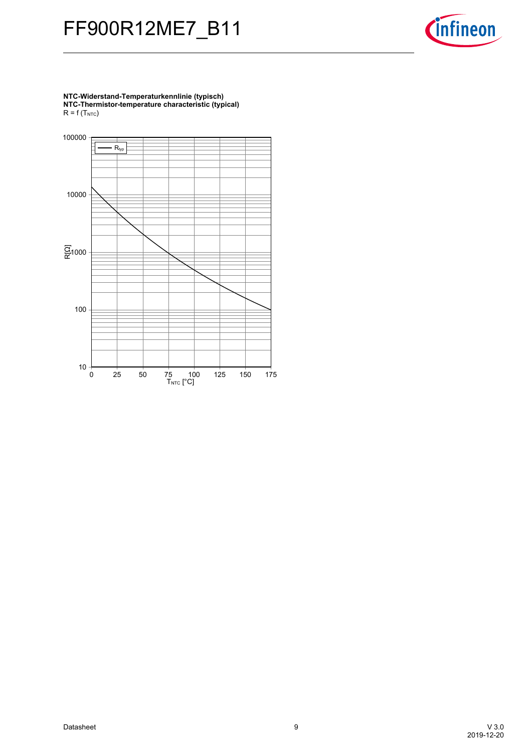![](_page_8_Picture_1.jpeg)

**NTC-Widerstand-Temperaturkennlinie-(typisch) NTC-Thermistor-temperature-characteristic-(typical)**  $R = f(T_{NTC})$ 

![](_page_8_Figure_3.jpeg)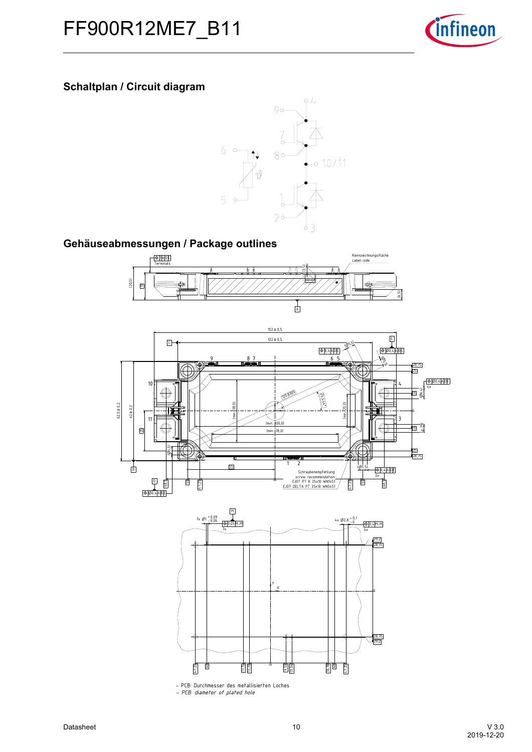![](_page_9_Picture_1.jpeg)

# **Schaltplan / Circuit diagram**

![](_page_9_Figure_3.jpeg)

# Gehäuseabmessungen / Package outlines

![](_page_9_Figure_5.jpeg)

![](_page_9_Figure_6.jpeg)

![](_page_9_Figure_7.jpeg)

- PCB: Durchmesser des metallisierten Loches *- PCB: diameter of plated hole*